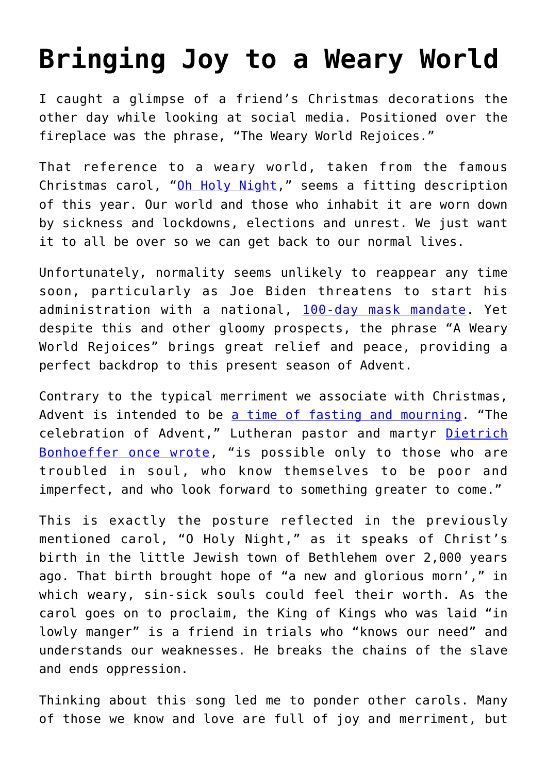## **[Bringing Joy to a Weary World](https://intellectualtakeout.org/2020/12/bringing-joy-to-a-weary-world/)**

I caught a glimpse of a friend's Christmas decorations the other day while looking at social media. Positioned over the fireplace was the phrase, "The Weary World Rejoices."

That reference to a weary world, taken from the famous Christmas carol, "[Oh Holy Night,](https://www.youtube.com/watch?v=gTFG_nvreoI)" seems a fitting description of this year. Our world and those who inhabit it are worn down by sickness and lockdowns, elections and unrest. We just want it to all be over so we can get back to our normal lives.

Unfortunately, normality seems unlikely to reappear any time soon, particularly as Joe Biden threatens to start his administration with a national, [100-day mask mandate.](https://twitter.com/JoeBiden/status/1336686791760502785) Yet despite this and other gloomy prospects, the phrase "A Weary World Rejoices" brings great relief and peace, providing a perfect backdrop to this present season of Advent.

Contrary to the typical merriment we associate with Christmas, Advent is intended to be [a time of fasting and mourning.](https://www.christianity.com/christian-life/christmas/what-is-advent.html) "The celebration of Advent," Lutheran pastor and martyr [Dietrich](https://www.amazon.com/gp/product/B004FPZ2NQ/ref=as_li_qf_asin_il_tl?ie=UTF8&tag=intelltakeo0d-20&creative=9325&linkCode=as2&creativeASIN=B004FPZ2NQ&linkId=2e2cb9e840ff038c5bb4041249f3c3eb) [Bonhoeffer once wrote,](https://www.amazon.com/gp/product/B004FPZ2NQ/ref=as_li_qf_asin_il_tl?ie=UTF8&tag=intelltakeo0d-20&creative=9325&linkCode=as2&creativeASIN=B004FPZ2NQ&linkId=2e2cb9e840ff038c5bb4041249f3c3eb) "is possible only to those who are troubled in soul, who know themselves to be poor and imperfect, and who look forward to something greater to come."

This is exactly the posture reflected in the previously mentioned carol, "O Holy Night," as it speaks of Christ's birth in the little Jewish town of Bethlehem over 2,000 years ago. That birth brought hope of "a new and glorious morn'," in which weary, sin-sick souls could feel their worth. As the carol goes on to proclaim, the King of Kings who was laid "in lowly manger" is a friend in trials who "knows our need" and understands our weaknesses. He breaks the chains of the slave and ends oppression.

Thinking about this song led me to ponder other carols. Many of those we know and love are full of joy and merriment, but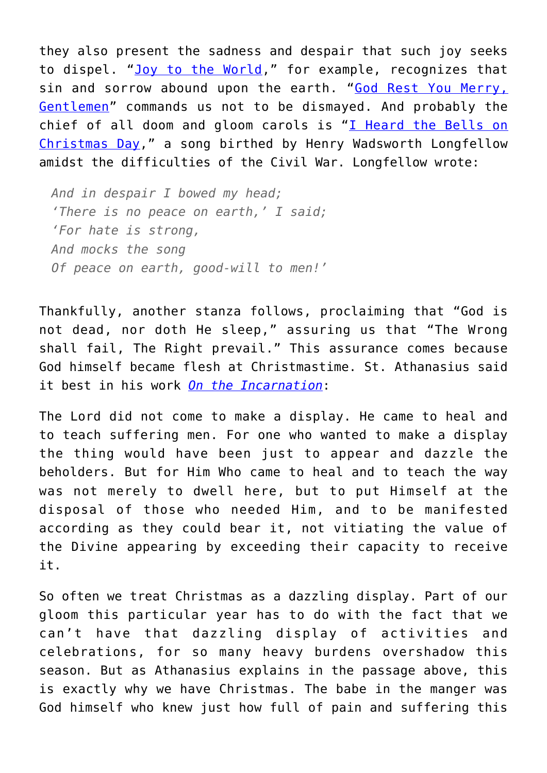they also present the sadness and despair that such joy seeks to dispel. "[Joy to the World,](https://www.youtube.com/watch?v=kyciMYZq2-Y)" for example, recognizes that sin and sorrow abound upon the earth. "[God Rest You Merry,](https://www.youtube.com/watch?v=FlfHyb397VY) [Gentlemen](https://www.youtube.com/watch?v=FlfHyb397VY)" commands us not to be dismayed. And probably the chief of all doom and gloom carols is "[I Heard the Bells on](https://www.youtube.com/watch?v=aMmRkimMBOE) [Christmas Day](https://www.youtube.com/watch?v=aMmRkimMBOE)," a song birthed by Henry Wadsworth Longfellow amidst the difficulties of the Civil War. Longfellow wrote:

*And in despair I bowed my head; 'There is no peace on earth,' I said; 'For hate is strong, And mocks the song Of peace on earth, good-will to men!'*

Thankfully, another stanza follows, proclaiming that "God is not dead, nor doth He sleep," assuring us that "The Wrong shall fail, The Right prevail." This assurance comes because God himself became flesh at Christmastime. St. Athanasius said it best in his work *[On the Incarnation](https://www.ccel.org/ccel/athanasius/incarnation.viii.html)*:

The Lord did not come to make a display. He came to heal and to teach suffering men. For one who wanted to make a display the thing would have been just to appear and dazzle the beholders. But for Him Who came to heal and to teach the way was not merely to dwell here, but to put Himself at the disposal of those who needed Him, and to be manifested according as they could bear it, not vitiating the value of the Divine appearing by exceeding their capacity to receive it.

So often we treat Christmas as a dazzling display. Part of our gloom this particular year has to do with the fact that we can't have that dazzling display of activities and celebrations, for so many heavy burdens overshadow this season. But as Athanasius explains in the passage above, this is exactly why we have Christmas. The babe in the manger was God himself who knew just how full of pain and suffering this